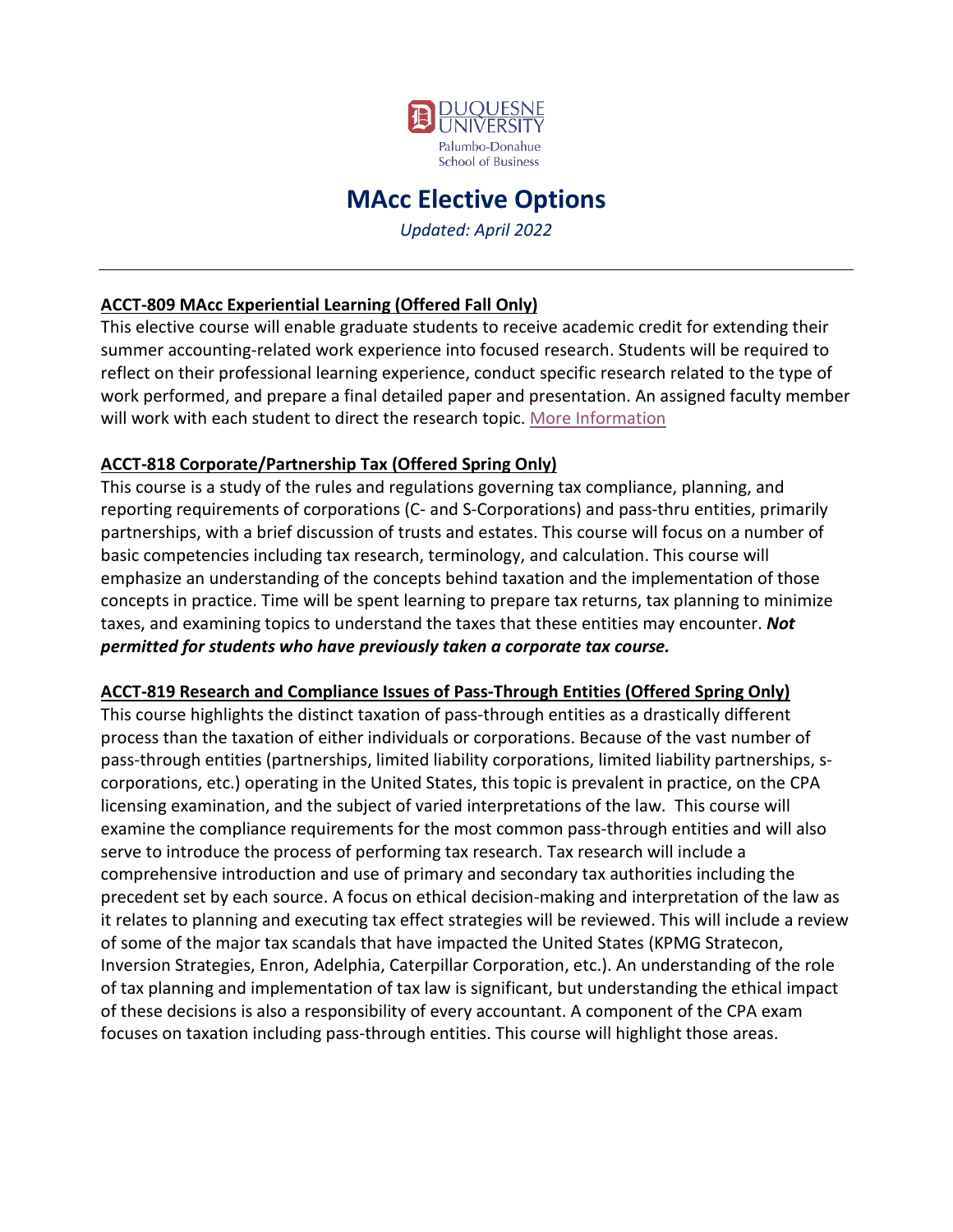

# **MAcc Elective Options**

*Updated: April 2022*

#### **ACCT-809 MAcc Experiential Learning (Offered Fall Only)**

This elective course will enable graduate students to receive academic credit for extending their summer accounting-related work experience into focused research. Students will be required to reflect on their professional learning experience, conduct specific research related to the type of work performed, and prepare a final detailed paper and presentation. An assigned faculty member will work with each student to direct the research topic. [More Information](https://mcusercontent.com/b4f8e7d391c7ce3305c4587fd/files/da170861-8957-d843-5d92-13b3dcf8780e/ACCT_809_MAcc_Experiential_Learning_FA22.pdf)

#### **ACCT-818 Corporate/Partnership Tax (Offered Spring Only)**

This course is a study of the rules and regulations governing tax compliance, planning, and reporting requirements of corporations (C- and S-Corporations) and pass-thru entities, primarily partnerships, with a brief discussion of trusts and estates. This course will focus on a number of basic competencies including tax research, terminology, and calculation. This course will emphasize an understanding of the concepts behind taxation and the implementation of those concepts in practice. Time will be spent learning to prepare tax returns, tax planning to minimize taxes, and examining topics to understand the taxes that these entities may encounter. *Not permitted for students who have previously taken a corporate tax course.* 

#### **ACCT-819 Research and Compliance Issues of Pass-Through Entities (Offered Spring Only)**

This course highlights the distinct taxation of pass-through entities as a drastically different process than the taxation of either individuals or corporations. Because of the vast number of pass-through entities (partnerships, limited liability corporations, limited liability partnerships, scorporations, etc.) operating in the United States, this topic is prevalent in practice, on the CPA licensing examination, and the subject of varied interpretations of the law. This course will examine the compliance requirements for the most common pass-through entities and will also serve to introduce the process of performing tax research. Tax research will include a comprehensive introduction and use of primary and secondary tax authorities including the precedent set by each source. A focus on ethical decision-making and interpretation of the law as it relates to planning and executing tax effect strategies will be reviewed. This will include a review of some of the major tax scandals that have impacted the United States (KPMG Stratecon, Inversion Strategies, Enron, Adelphia, Caterpillar Corporation, etc.). An understanding of the role of tax planning and implementation of tax law is significant, but understanding the ethical impact of these decisions is also a responsibility of every accountant. A component of the CPA exam focuses on taxation including pass-through entities. This course will highlight those areas.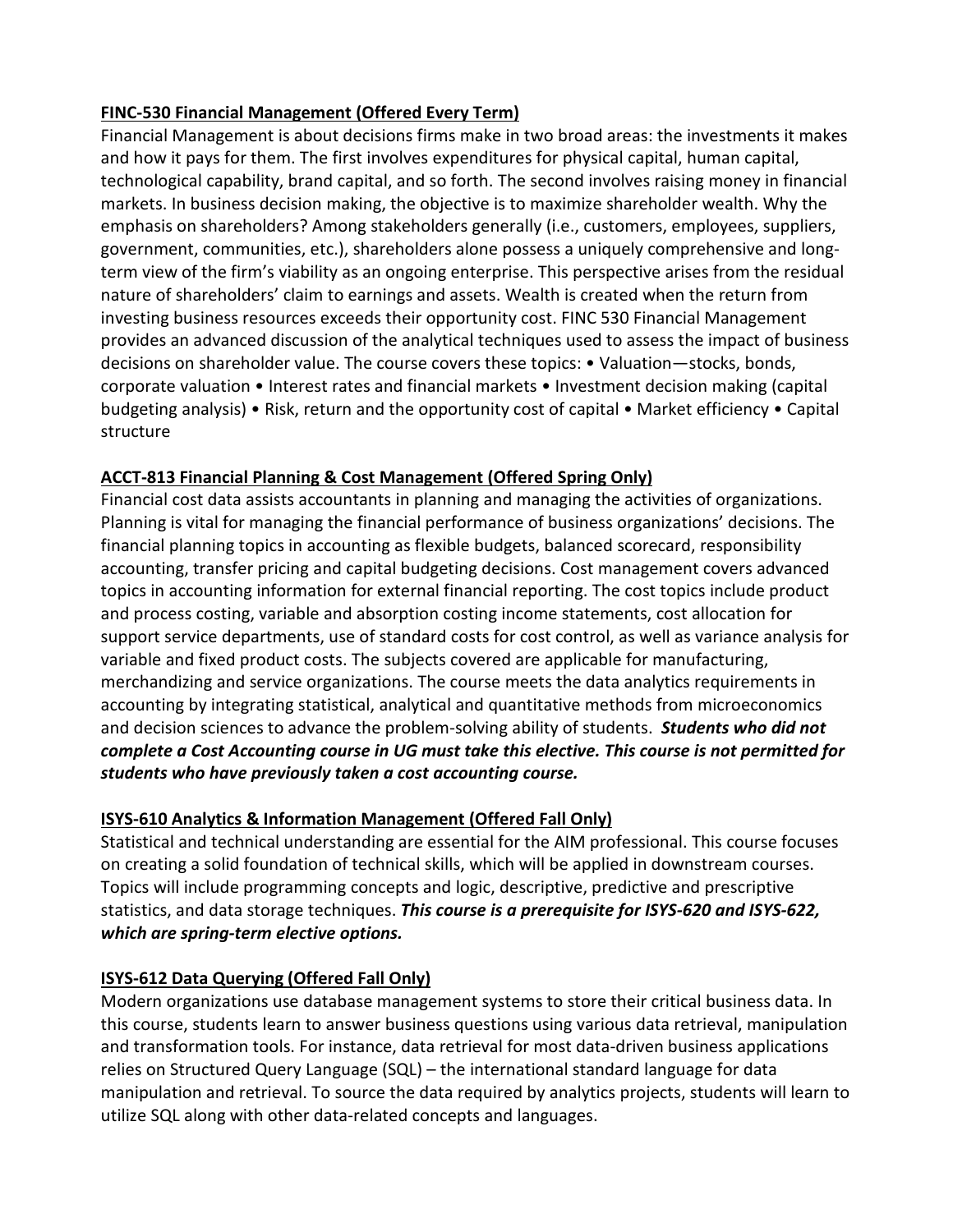#### **FINC-530 Financial Management (Offered Every Term)**

Financial Management is about decisions firms make in two broad areas: the investments it makes and how it pays for them. The first involves expenditures for physical capital, human capital, technological capability, brand capital, and so forth. The second involves raising money in financial markets. In business decision making, the objective is to maximize shareholder wealth. Why the emphasis on shareholders? Among stakeholders generally (i.e., customers, employees, suppliers, government, communities, etc.), shareholders alone possess a uniquely comprehensive and longterm view of the firm's viability as an ongoing enterprise. This perspective arises from the residual nature of shareholders' claim to earnings and assets. Wealth is created when the return from investing business resources exceeds their opportunity cost. FINC 530 Financial Management provides an advanced discussion of the analytical techniques used to assess the impact of business decisions on shareholder value. The course covers these topics: • Valuation—stocks, bonds, corporate valuation • Interest rates and financial markets • Investment decision making (capital budgeting analysis) • Risk, return and the opportunity cost of capital • Market efficiency • Capital structure

# **ACCT-813 Financial Planning & Cost Management (Offered Spring Only)**

Financial cost data assists accountants in planning and managing the activities of organizations. Planning is vital for managing the financial performance of business organizations' decisions. The financial planning topics in accounting as flexible budgets, balanced scorecard, responsibility accounting, transfer pricing and capital budgeting decisions. Cost management covers advanced topics in accounting information for external financial reporting. The cost topics include product and process costing, variable and absorption costing income statements, cost allocation for support service departments, use of standard costs for cost control, as well as variance analysis for variable and fixed product costs. The subjects covered are applicable for manufacturing, merchandizing and service organizations. The course meets the data analytics requirements in accounting by integrating statistical, analytical and quantitative methods from microeconomics and decision sciences to advance the problem-solving ability of students. *Students who did not complete a Cost Accounting course in UG must take this elective. This course is not permitted for students who have previously taken a cost accounting course.*

# **ISYS-610 Analytics & Information Management (Offered Fall Only)**

Statistical and technical understanding are essential for the AIM professional. This course focuses on creating a solid foundation of technical skills, which will be applied in downstream courses. Topics will include programming concepts and logic, descriptive, predictive and prescriptive statistics, and data storage techniques. *This course is a prerequisite for ISYS-620 and ISYS-622, which are spring-term elective options.* 

# **ISYS-612 Data Querying (Offered Fall Only)**

Modern organizations use database management systems to store their critical business data. In this course, students learn to answer business questions using various data retrieval, manipulation and transformation tools. For instance, data retrieval for most data-driven business applications relies on Structured Query Language (SQL) – the international standard language for data manipulation and retrieval. To source the data required by analytics projects, students will learn to utilize SQL along with other data-related concepts and languages.